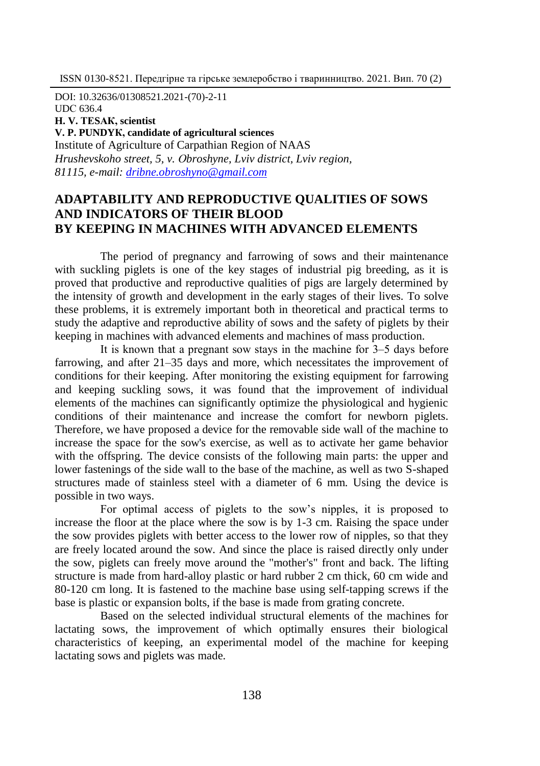DOI: 10.32636/01308521.2021-(70)-2-11

UDС 636.4

**H. V. ТЕSАК, scientist**

**V. P. PUNDYК, candidate of agricultural sciences**

Institute of Agriculture of Carpathian Region of NAAS *Hrushevskoho street, 5, v. Оbroshyne, Lviv district, Lviv region, 81115, e-mail: [dribne.obroshyno@gmail.com](mailto:dribne.obroshyno@gmail.com)*

# **ADAPTABILITY AND REPRODUCTIVE QUALITIES OF SOWS AND INDICATORS OF THEIR BLOOD BY KEEPING IN MACHINES WITH ADVANCED ELEMENTS**

The period of pregnancy and farrowing of sows and their maintenance with suckling piglets is one of the key stages of industrial pig breeding, as it is proved that productive and reproductive qualities of pigs are largely determined by the intensity of growth and development in the early stages of their lives. To solve these problems, it is extremely important both in theoretical and practical terms to study the adaptive and reproductive ability of sows and the safety of piglets by their keeping in machines with advanced elements and machines of mass production.

It is known that a pregnant sow stays in the machine for  $3-5$  days before farrowing, and after 21–35 days and more, which necessitates the improvement of conditions for their keeping. After monitoring the existing equipment for farrowing and keeping suckling sows, it was found that the improvement of individual elements of the machines can significantly optimize the physiological and hygienic conditions of their maintenance and increase the comfort for newborn piglets. Therefore, we have proposed a device for the removable side wall of the machine to increase the space for the sow's exercise, as well as to activate her game behavior with the offspring. The device consists of the following main parts: the upper and lower fastenings of the side wall to the base of the machine, as well as two S-shaped structures made of stainless steel with a diameter of 6 mm. Using the device is possible in two ways.

For optimal access of piglets to the sow's nipples, it is proposed to increase the floor at the place where the sow is by 1-3 cm. Raising the space under the sow provides piglets with better access to the lower row of nipples, so that they are freely located around the sow. And since the place is raised directly only under the sow, piglets can freely move around the "mother's" front and back. The lifting structure is made from hard-alloy plastic or hard rubber 2 cm thick, 60 cm wide and 80-120 cm long. It is fastened to the machine base using self-tapping screws if the base is plastic or expansion bolts, if the base is made from grating concrete.

Based on the selected individual structural elements of the machines for lactating sows, the improvement of which optimally ensures their biological characteristics of keeping, an experimental model of the machine for keeping lactating sows and piglets was made.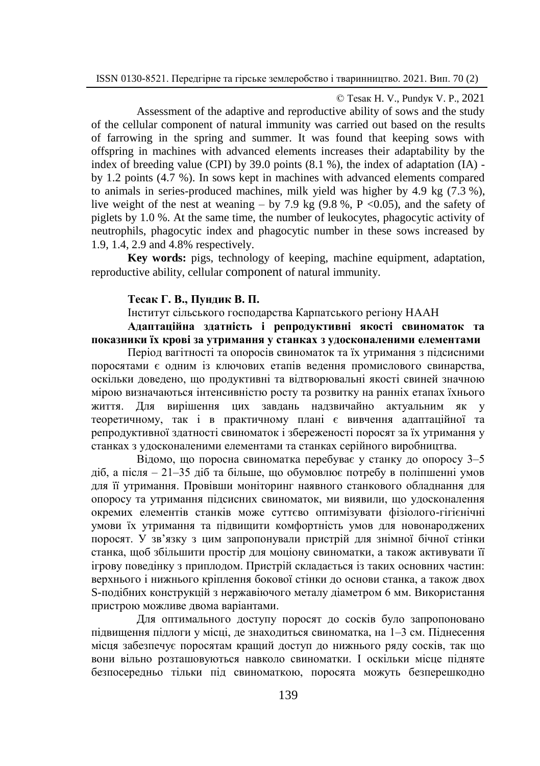© Теsак H. V., Pundyк V. P., 2021

Assessment of the adaptive and reproductive ability of sows and the study of the cellular component of natural immunity was carried out based on the results of farrowing in the spring and summer. It was found that keeping sows with offspring in machines with advanced elements increases their adaptability by the index of breeding value (CPI) by 39.0 points (8.1 %), the index of adaptation (IA) by 1.2 points (4.7 %). In sows kept in machines with advanced elements compared to animals in series-produced machines, milk yield was higher by 4.9 kg (7.3 %), live weight of the nest at weaning – by 7.9 kg  $(9.8 \text{ %}, P \le 0.05)$ , and the safety of piglets by 1.0 %. At the same time, the number of leukocytes, phagocytic activity of neutrophils, phagocytic index and phagocytic number in these sows increased by 1.9, 1.4, 2.9 and 4.8% respectively.

**Key words:** pigs, technology of keeping, machine equipment, adaptation, reproductive ability, cellular component of natural immunity.

#### **Тесак Г. В., Пундик В. П.**

Інститут сільського господарства Карпатського регіону НААН

**Адаптаційна здатність i репродуктивні якості свиноматок та показники їх крові за утримання у станках з удосконаленими елементами**

Період вагітності та опоросів свиноматок та їх утримання з підсисними поросятами є одним із ключових етапів ведення промислового свинарства, оскільки доведено, що продуктивні та відтворювальні якості свиней значною мірою визначаються інтенсивністю росту та розвитку на ранніх етапах їхнього життя. Для вирішення цих завдань надзвичайно актуальним як у теоретичному, так і в практичному плані є вивчення адаптаційної та репродуктивної здатності свиноматок і збереженості поросят за їх утримання у станках з удосконаленими елементами та станках серійного виробництва.

Відомо, що поросна свиноматка перебуває у станку до опоросу 3–5 діб, а після ‒ 21‒35 діб та більше, що обумовлює потребу в поліпшенні умов для її утримання. Провівши моніторинг наявного станкового обладнання для опоросу та утримання підсисних свиноматок, ми виявили, що удосконалення окремих елементів станків може суттєво оптимізувати фізіолого-гігієнічні умови їх утримання та підвищити комфортність умов для новонароджених поросят. У зв'язку з цим запропонували пристрій для знімної бічної стінки станка, щоб збільшити простір для моціону свиноматки, а також активувати її ігрову поведінку з приплодом. Пристрій складається із таких основних частин: верхнього і нижнього кріплення бокової стінки до основи станка, а також двох S-подібних конструкцій з нержавіючого металу діаметром 6 мм. Використання пристрою можливе двома варіантами.

Для оптимального доступу поросят до сосків було запропоновано підвищення підлоги у місці, де знаходиться свиноматка, на 1‒3 см. Піднесення місця забезпечує поросятам кращий доступ до нижнього ряду сосків, так що вони вільно розташовуються навколо свиноматки. І оскільки місце підняте безпосередньо тільки під свиноматкою, поросята можуть безперешкодно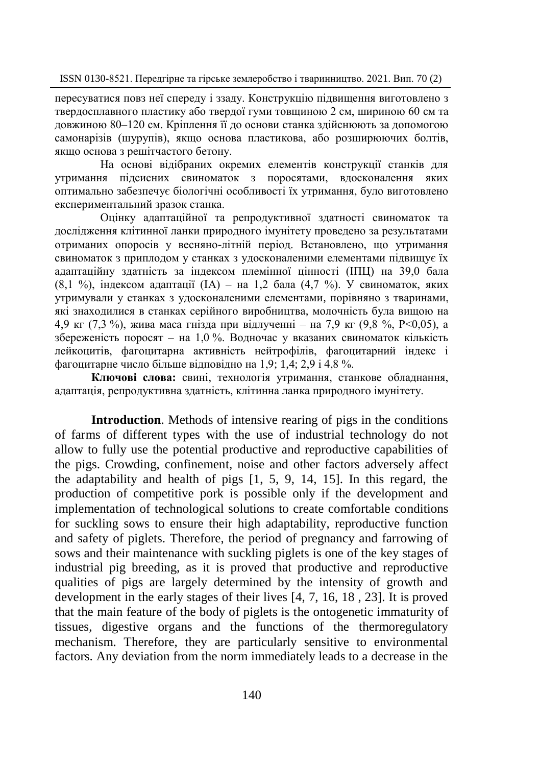пересуватися повз неї спереду і ззаду. Конструкцію підвищення виготовлено з твердосплавного пластику або твердої гуми товщиною 2 см, шириною 60 см та довжиною 80‒120 см. Кріплення її до основи станка здійснюють за допомогою самонарізів (шурупів), якщо основа пластикова, або розширюючих болтів, якщо основа з решітчастого бетону.

На основі відібраних окремих елементів конструкції станків для утримання підсисних свиноматок з поросятами, вдосконалення яких оптимально забезпечує біологічні особливості їх утримання, було виготовлено експериментальний зразок станка.

Оцінку адаптаційної та репродуктивної здатності свиноматок та дослідження клітинної ланки природного імунітету проведено за результатами отриманих опоросів у весняно-літній період. Встановлено, що утримання свиноматок з приплодом у станках з удосконаленими елементами підвищує їх адаптаційну здатність за індексом племінної цінності (ІПЦ) на 39,0 бала (8,1 %), індексом адаптації (ІА) – на 1,2 бала (4,7 %). У свиноматок, яких утримували у станках з удосконаленими елементами, порівняно з тваринами, які знаходилися в станках серійного виробництва, молочність була вищою на 4,9 кг (7,3 %), жива маса гнізда при відлученні - на 7,9 кг (9,8 %, P<0,05), а збереженість поросят - на 1,0 %. Водночас у вказаних свиноматок кількість лейкоцитів, фагоцитарна активність нейтрофілів, фагоцитарний індекс і фагоцитарне число більше відповідно на 1,9; 1,4; 2,9 і 4,8 %.

**Ключові слова:** свині, технологія утримання, станкове обладнання, адаптація, репродуктивна здатність, клітинна ланка природного імунітету.

**Introduction**. Methods of intensive rearing of pigs in the conditions of farms of different types with the use of industrial technology do not allow to fully use the potential productive and reproductive capabilities of the pigs. Crowding, confinement, noise and other factors adversely affect the adaptability and health of pigs [1, 5, 9, 14, 15]. In this regard, the production of competitive pork is possible only if the development and implementation of technological solutions to create comfortable conditions for suckling sows to ensure their high adaptability, reproductive function and safety of piglets. Therefore, the period of pregnancy and farrowing of sows and their maintenance with suckling piglets is one of the key stages of industrial pig breeding, as it is proved that productive and reproductive qualities of pigs are largely determined by the intensity of growth and development in the early stages of their lives [4, 7, 16, 18 , 23]. It is proved that the main feature of the body of piglets is the ontogenetic immaturity of tissues, digestive organs and the functions of the thermoregulatory mechanism. Therefore, they are particularly sensitive to environmental factors. Any deviation from the norm immediately leads to a decrease in the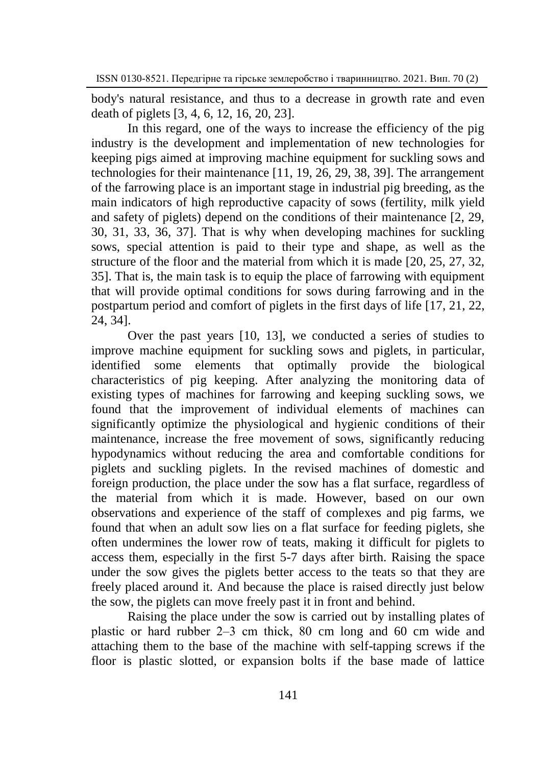body's natural resistance, and thus to a decrease in growth rate and even death of piglets [3, 4, 6, 12, 16, 20, 23].

In this regard, one of the ways to increase the efficiency of the pig industry is the development and implementation of new technologies for keeping pigs aimed at improving machine equipment for suckling sows and technologies for their maintenance [11, 19, 26, 29, 38, 39]. The arrangement of the farrowing place is an important stage in industrial pig breeding, as the main indicators of high reproductive capacity of sows (fertility, milk yield and safety of piglets) depend on the conditions of their maintenance [2, 29, 30, 31, 33, 36, 37]. That is why when developing machines for suckling sows, special attention is paid to their type and shape, as well as the structure of the floor and the material from which it is made [20, 25, 27, 32, 35]. That is, the main task is to equip the place of farrowing with equipment that will provide optimal conditions for sows during farrowing and in the postpartum period and comfort of piglets in the first days of life [17, 21, 22, 24, 34].

Over the past years [10, 13], we conducted a series of studies to improve machine equipment for suckling sows and piglets, in particular, identified some elements that optimally provide the biological characteristics of pig keeping. After analyzing the monitoring data of existing types of machines for farrowing and keeping suckling sows, we found that the improvement of individual elements of machines can significantly optimize the physiological and hygienic conditions of their maintenance, increase the free movement of sows, significantly reducing hypodynamics without reducing the area and comfortable conditions for piglets and suckling piglets. In the revised machines of domestic and foreign production, the place under the sow has a flat surface, regardless of the material from which it is made. However, based on our own observations and experience of the staff of complexes and pig farms, we found that when an adult sow lies on a flat surface for feeding piglets, she often undermines the lower row of teats, making it difficult for piglets to access them, especially in the first 5-7 days after birth. Raising the space under the sow gives the piglets better access to the teats so that they are freely placed around it. And because the place is raised directly just below the sow, the piglets can move freely past it in front and behind.

Raising the place under the sow is carried out by installing plates of plastic or hard rubber 2‒3 cm thick, 80 cm long and 60 cm wide and attaching them to the base of the machine with self-tapping screws if the floor is plastic slotted, or expansion bolts if the base made of lattice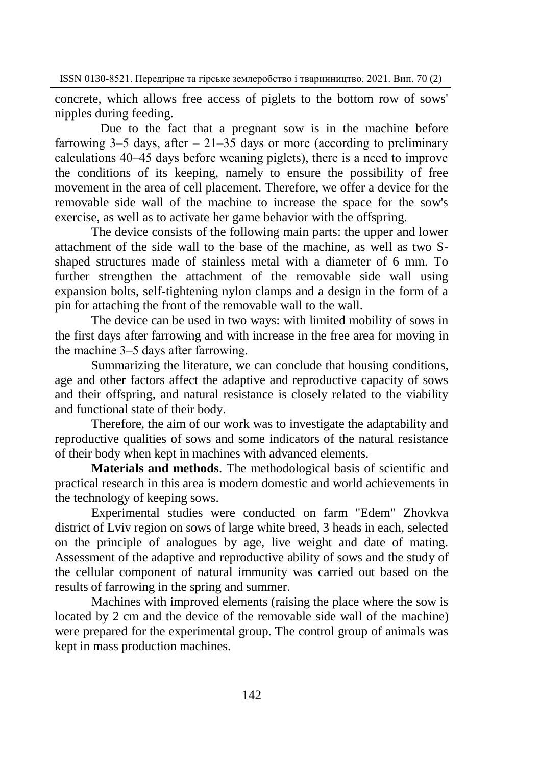concrete, which allows free access of piglets to the bottom row of sows' nipples during feeding.

Due to the fact that a pregnant sow is in the machine before farrowing  $3-5$  days, after  $-21-35$  days or more (according to preliminary calculations 40‒45 days before weaning piglets), there is a need to improve the conditions of its keeping, namely to ensure the possibility of free movement in the area of cell placement. Therefore, we offer a device for the removable side wall of the machine to increase the space for the sow's exercise, as well as to activate her game behavior with the offspring.

The device consists of the following main parts: the upper and lower attachment of the side wall to the base of the machine, as well as two Sshaped structures made of stainless metal with a diameter of 6 mm. To further strengthen the attachment of the removable side wall using expansion bolts, self-tightening nylon clamps and a design in the form of a pin for attaching the front of the removable wall to the wall.

The device can be used in two ways: with limited mobility of sows in the first days after farrowing and with increase in the free area for moving in the machine 3–5 days after farrowing.

Summarizing the literature, we can conclude that housing conditions, age and other factors affect the adaptive and reproductive capacity of sows and their offspring, and natural resistance is closely related to the viability and functional state of their body.

Therefore, the aim of our work was to investigate the adaptability and reproductive qualities of sows and some indicators of the natural resistance of their body when kept in machines with advanced elements.

**Materials and methods**. The methodological basis of scientific and practical research in this area is modern domestic and world achievements in the technology of keeping sows.

Experimental studies were conducted on farm "Edem" Zhovkva district of Lviv region on sows of large white breed, 3 heads in each, selected on the principle of analogues by age, live weight and date of mating. Assessment of the adaptive and reproductive ability of sows and the study of the cellular component of natural immunity was carried out based on the results of farrowing in the spring and summer.

Machines with improved elements (raising the place where the sow is located by 2 cm and the device of the removable side wall of the machine) were prepared for the experimental group. The control group of animals was kept in mass production machines.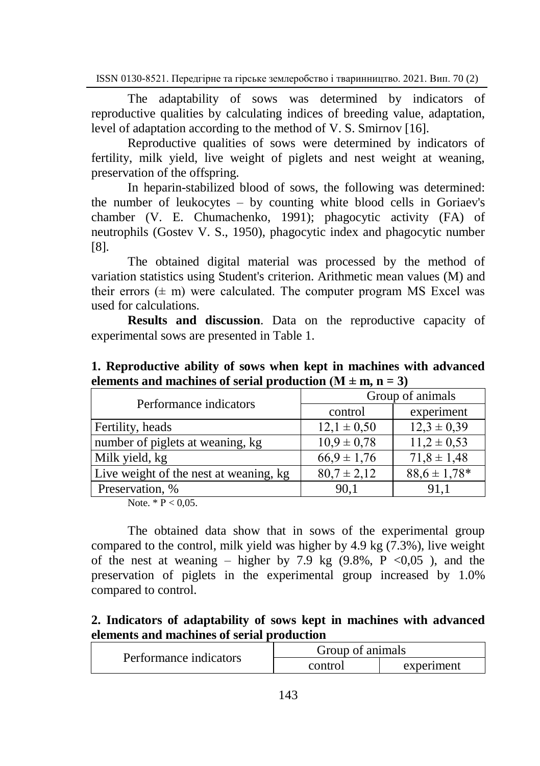The adaptability of sows was determined by indicators of reproductive qualities by calculating indices of breeding value, adaptation, level of adaptation according to the method of V. S. Smirnov [16].

Reproductive qualities of sows were determined by indicators of fertility, milk yield, live weight of piglets and nest weight at weaning, preservation of the offspring.

In heparin-stabilized blood of sows, the following was determined: the number of leukocytes – by counting white blood cells in Goriaev's chamber (V. E. Chumachenko, 1991); phagocytic activity (FA) of neutrophils (Gostev V. S., 1950), phagocytic index and phagocytic number [8].

The obtained digital material was processed by the method of variation statistics using Student's criterion. Arithmetic mean values (M) and their errors  $(\pm m)$  were calculated. The computer program MS Excel was used for calculations.

**Results and discussion.** Data on the reproductive capacity of experimental sows are presented in Table 1.

| Performance indicators                 | Group of animals |                  |
|----------------------------------------|------------------|------------------|
|                                        | control          | experiment       |
| Fertility, heads                       | $12,1 \pm 0,50$  | $12,3 \pm 0,39$  |
| number of piglets at weaning, kg       | $10.9 \pm 0.78$  | $11,2 \pm 0.53$  |
| Milk yield, kg                         | $66.9 \pm 1.76$  | $71,8 \pm 1,48$  |
| Live weight of the nest at weaning, kg | $80,7 \pm 2,12$  | $88.6 \pm 1.78*$ |
| Preservation, %                        | 90.1             | 91.1             |

**1. Reproductive ability of sows when kept in machines with advanced elements and machines of serial production**  $(M \pm m, n = 3)$ 

Note.  $*$  P < 0,05.

The obtained data show that in sows of the experimental group compared to the control, milk yield was higher by 4.9 kg (7.3%), live weight of the nest at weaning – higher by 7.9 kg  $(9.8\% , P \le 0.05)$ , and the preservation of piglets in the experimental group increased by 1.0% compared to control.

## **2. Indicators of adaptability of sows kept in machines with advanced elements and machines of serial production**

| Performance indicators | Group of animals |            |
|------------------------|------------------|------------|
|                        | control          | experiment |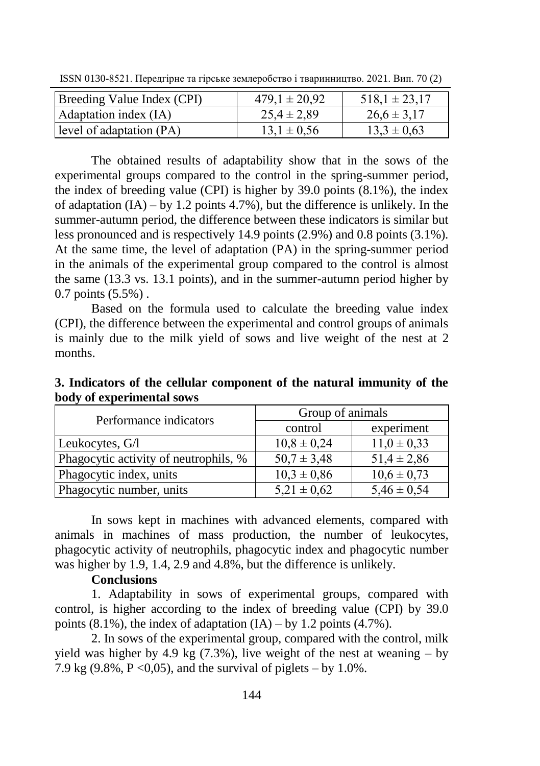| Breeding Value Index (CPI) | $479.1 \pm 20.92$ | $518.1 \pm 23.17$ |
|----------------------------|-------------------|-------------------|
| Adaptation index (IA)      | $25.4 \pm 2.89$   | $26.6 \pm 3.17$   |
| level of adaptation (PA)   | $13.1 \pm 0.56$   | $13.3 \pm 0.63$   |

ISSN 0130-8521. Передгірне та гірське землеробство і тваринництво. 2021. Вип. 70 (2)

The obtained results of adaptability show that in the sows of the experimental groups compared to the control in the spring-summer period, the index of breeding value (CPI) is higher by 39.0 points (8.1%), the index of adaptation  $(IA) - by 1.2$  points 4.7%), but the difference is unlikely. In the summer-autumn period, the difference between these indicators is similar but less pronounced and is respectively 14.9 points (2.9%) and 0.8 points (3.1%). At the same time, the level of adaptation (PA) in the spring-summer period in the animals of the experimental group compared to the control is almost the same (13.3 vs. 13.1 points), and in the summer-autumn period higher by 0.7 points (5.5%) .

Based on the formula used to calculate the breeding value index (CPI), the difference between the experimental and control groups of animals is mainly due to the milk yield of sows and live weight of the nest at 2 months.

| Performance indicators                | Group of animals |                 |
|---------------------------------------|------------------|-----------------|
|                                       | control          | experiment      |
| Leukocytes, G/I                       | $10,8 \pm 0,24$  | $11.0 \pm 0.33$ |
| Phagocytic activity of neutrophils, % | $50.7 \pm 3.48$  | $51,4 \pm 2,86$ |
| Phagocytic index, units               | $10,3 \pm 0,86$  | $10,6 \pm 0,73$ |
| Phagocytic number, units              | $5,21 \pm 0,62$  | $5,46 \pm 0,54$ |

**3. Indicators of the cellular component of the natural immunity of the body of experimental sows**

In sows kept in machines with advanced elements, compared with animals in machines of mass production, the number of leukocytes, phagocytic activity of neutrophils, phagocytic index and phagocytic number was higher by 1.9, 1.4, 2.9 and 4.8%, but the difference is unlikely.

### **Conclusions**

1. Adaptability in sows of experimental groups, compared with control, is higher according to the index of breeding value (CPI) by 39.0 points  $(8.1\%)$ , the index of adaptation  $(IA)$  – by 1.2 points  $(4.7\%)$ .

2. In sows of the experimental group, compared with the control, milk yield was higher by 4.9 kg  $(7.3\%)$ , live weight of the nest at weaning – by 7.9 kg (9.8%,  $P \le 0.05$ ), and the survival of piglets – by 1.0%.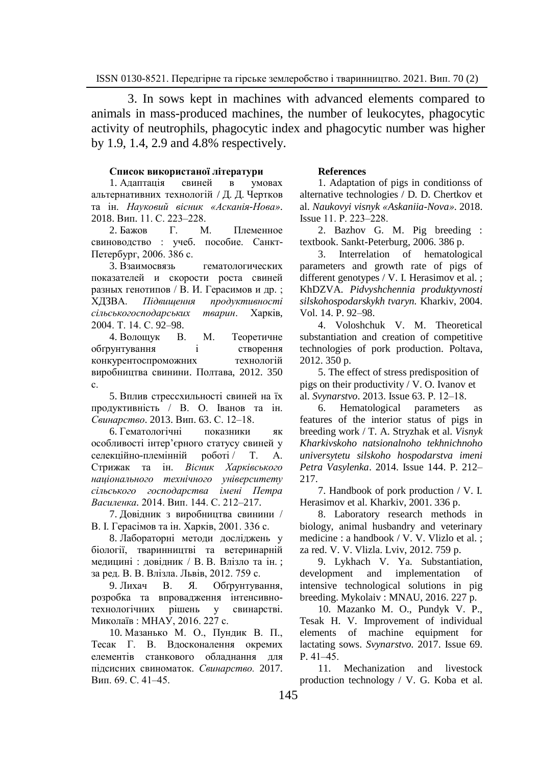3. In sows kept in machines with advanced elements compared to animals in mass-produced machines, the number of leukocytes, phagocytic activity of neutrophils, phagocytic index and phagocytic number was higher by 1.9, 1.4, 2.9 and 4.8% respectively.

#### **Список використаної літератури**

1. [Адаптація свиней в умовах](https://scholar.google.com.ua/scholar?oi=bibs&cluster=15502267811880015239&btnI=1&hl=uk)  [альтернативних технологій](https://scholar.google.com.ua/scholar?oi=bibs&cluster=15502267811880015239&btnI=1&hl=uk) / Д. Д. Чертков та ін. *Науковий вісник «Асканія-Нова»*. 2018. Вип. 11. С. 223‒228.

2. Бажов Г. М. Племенное свиноводство : учеб. пособие. Санкт-Петербург, 2006. 386 с.

3. Взаимосвязь гематологических показателей и скорости роста свиней разных генотипов / В. И. Герасимов и др. ; ХДЗВА. *Підвищення продуктивності сільськогосподарських тварин*. Харків, 2004. Т. 14. С. 92–98.

4. Волощук В. М. Теоретичне обґрунтування і створення конкурентоспроможних технологій виробництва свинини. Полтава, 2012. 350 с.

5. Вплив стрессхильності свиней на їх продуктивність / В. О. Іванов та ін. *Свинарство*. 2013. Вип. 63. С. 12‒18.

6. Гематологічні показники як особливості інтер'єрного статусу свиней у<br>селекційно-племінній роботі / Т. А. селекційно-племінній роботі / Т. А. Стрижак та ін. *[Вісник Харківського](http://www.irbis-nbuv.gov.ua/cgi-bin/irbis_nbuv/cgiirbis_64.exe?Z21ID=&I21DBN=UJRN&P21DBN=UJRN&S21STN=1&S21REF=10&S21FMT=JUU_all&C21COM=S&S21CNR=20&S21P01=0&S21P02=0&S21P03=IJ=&S21COLORTERMS=1&S21STR=%D0%9661599)  [національного технічного університету](http://www.irbis-nbuv.gov.ua/cgi-bin/irbis_nbuv/cgiirbis_64.exe?Z21ID=&I21DBN=UJRN&P21DBN=UJRN&S21STN=1&S21REF=10&S21FMT=JUU_all&C21COM=S&S21CNR=20&S21P01=0&S21P02=0&S21P03=IJ=&S21COLORTERMS=1&S21STR=%D0%9661599)  [сільського господарства імені Петра](http://www.irbis-nbuv.gov.ua/cgi-bin/irbis_nbuv/cgiirbis_64.exe?Z21ID=&I21DBN=UJRN&P21DBN=UJRN&S21STN=1&S21REF=10&S21FMT=JUU_all&C21COM=S&S21CNR=20&S21P01=0&S21P02=0&S21P03=IJ=&S21COLORTERMS=1&S21STR=%D0%9661599)  [Василенка.](http://www.irbis-nbuv.gov.ua/cgi-bin/irbis_nbuv/cgiirbis_64.exe?Z21ID=&I21DBN=UJRN&P21DBN=UJRN&S21STN=1&S21REF=10&S21FMT=JUU_all&C21COM=S&S21CNR=20&S21P01=0&S21P02=0&S21P03=IJ=&S21COLORTERMS=1&S21STR=%D0%9661599)* 2014. Вип. 144. С. 212–217.

7. Довідник з виробництва свинини / В. І. Герасімов та ін. Харків, 2001. 336 с.

8. Лабораторні методи досліджень у біології, тваринництві та ветеринарній медицині : довідник / В. В. Влізло та ін. ; за ред. В. В. Влізла. Львів, 2012. 759 с.

9. Лихач В. Я. Обґрунтування, розробка та впровадження інтенсивнотехнологічних рішень у свинарстві. Миколаїв : МНАУ, 2016. 227 с.

10. Мазанько М. О., Пундик В. П., Тесак Г. В. Вдосконалення окремих елементів станкового обладнання для підсисних свиноматок. *Свинарство.* 2017. Вип. 69. С. 41-45.

#### **References**

1. Adaptation of pigs in conditionss of alternative technologies / D. D. Chertkov et al. *Naukovyi visnyk «Askaniia-Nova»*. 2018. Issue 11. P. 223‒228.

2. Bazhov G. M. Pig breeding : textbook. Sankt-Peterburg, 2006. 386 p.

3. Interrelation of hematological parameters and growth rate of pigs of different genotypes / V. I. Herasimov et al. : KhDZVA. *Pidvyshchennia produktyvnosti silskohospodarskykh tvaryn.* Kharkiv, 2004. Vol. 14. P. 92–98.

4. Voloshchuk V. M. Theoretical substantiation and creation of competitive technologies of pork production. Poltava, 2012. 350 p.

5. The effect of stress predisposition of pigs on their productivity / V. O. Ivanov et al. *Svynarstvo*. 2013. Issue 63. P. 12‒18.

6. Hematological parameters features of the interior status of pigs in breeding work / T. A. Stryzhak et al. *Visnyk Kharkivskoho natsionalnoho tekhnichnoho universytetu silskoho hospodarstva imeni Petra Vasylenka*. 2014. Issue 144. P. 212– 217.

7. Handbook of pork production / V. I. Herasimov et al. Kharkiv, 2001. 336 p.

8. Laboratory research methods in biology, animal husbandry and veterinary medicine : a handbook / V. V. Vlizlo et al. ; za red. V. V. Vlizla. Lviv, 2012. 759 p.

9. Lykhach V. Ya. Substantiation, development and implementation of intensive technological solutions in pig breeding. Mykolaiv : MNAU, 2016. 227 p.

10. Mazanko M. O., Pundyk V. P., Tesak H. V. Improvement of individual elements of machine equipment for lactating sows. *Svynarstvo.* 2017. Issue 69.  $P. 41 - 45.$ 

11. Mechanization and livestock production technology / V. G. Koba et al.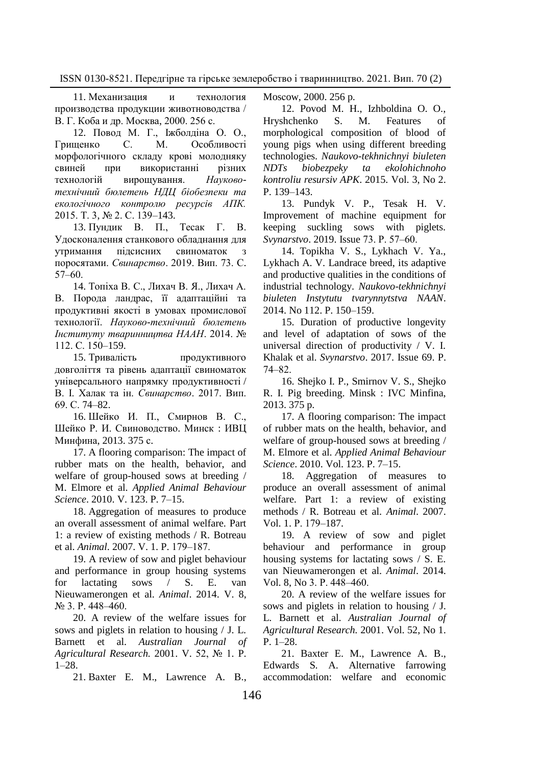11. Механизация и технология производства продукции животноводства / В. Г. Коба и др. Москва, 2000. 256 с.

12. Повод М. Г., Іжболдіна О. О., Грищенко С. М. Особливості морфологічного складу крові молодняку свиней при використанні різних технологій вирощування. *Науковотехнічний бюлетень НДЦ біобезпеки та екологічного контролю ресурсів АПК.*  2015. Т. 3, № 2. С. 139–143.

13. Пундик В. П., Тесак Г. В. Удосконалення станкового обладнання для утримання підсисних свиноматок з поросятами. *Свинарство*. 2019. Вип. 73. С.  $57 - 60$ .

14. Топіха В. С., Лихач В. Я., Лихач А. В. Порода ландрас, її адаптаційні та продуктивні якості в умовах промислової технології. *Науково-технічний бюлетень Інституту тваринництва НААН*. 2014. № 112. С. 150–159.

15. Тривалість продуктивного довголіття та рівень адаптації свиноматок універсального напрямку продуктивності / В. І. Халак та ін. *[Свинарство](http://www.irbis-nbuv.gov.ua/cgi-bin/irbis_nbuv/cgiirbis_64.exe?Z21ID=&I21DBN=UJRN&P21DBN=UJRN&S21STN=1&S21REF=10&S21FMT=JUU_all&C21COM=S&S21CNR=20&S21P01=0&S21P02=0&S21P03=IJ=&S21COLORTERMS=1&S21STR=%D0%9629341)*. 2017. Вип. 69. С. 74‒82.

16. Шейко И. П., Смирнов В. С., Шейко Р. И. Свиноводство. Минск : ИВЦ Минфина, 2013. 375 с.

17. A flooring comparison: The impact of rubber mats on the health, behavior, and welfare of group-housed sows at breeding / M. [Elmore et al.](https://www.sciencedirect.com/science/article/abs/pii/S0168159109003256?via%3Dihub#!) *[Applied Animal Behaviour](https://www.sciencedirect.com/science/article/abs/pii/S0168159109003256?via%3Dihub#!)  [Science](https://www.sciencedirect.com/science/journal/01681591)*. 2010. V. [123. P](https://www.sciencedirect.com/science/journal/01681591/123/1). 7‒15.

18. Aggregation of measures to produce an overall assessment of animal welfare. Part 1: a review of existing methods / R. Botreau et al. *Animal*. 2007[. V.](https://www.cambridge.org/core/journals/animal/volume/1D6A4435771655C35FE3929D14A85ABA) 1. P. 179-187.

19. A review of sow and piglet behaviour and performance in group housing systems for lactating sows / S. E. [van](https://www.ncbi.nlm.nih.gov/pubmed/?term=van%20Nieuwamerongen%20SE%5BAuthor%5D&cauthor=true&cauthor_uid=24534691)  [Nieuwamerongen](https://www.ncbi.nlm.nih.gov/pubmed/?term=van%20Nieuwamerongen%20SE%5BAuthor%5D&cauthor=true&cauthor_uid=24534691) et al. *[Animal](https://www.ncbi.nlm.nih.gov/pubmed/24534691)*. 2014. V. 8,  $\sqrt{6}$  3. P. 448–460.

20. A review of the welfare issues for sows and piglets in relation to housing / [J. L.](mailto:john.barnett@nre.vic.gov.au)  [Barnett](mailto:john.barnett@nre.vic.gov.au) et al. *Australian Journal of Agricultural Research.* 2001. V. 52, № 1. P. 1–28.

21. [Baxter E. M.](https://www.ncbi.nlm.nih.gov/pubmed/?term=Baxter%20EM%5BAuthor%5D&cauthor=true&cauthor_uid=22436159), [Lawrence A. B.,](https://www.ncbi.nlm.nih.gov/pubmed/?term=Lawrence%20AB%5BAuthor%5D&cauthor=true&cauthor_uid=22436159)

Mosсow, 2000. 256 p.

12. Povod M. H., Izhboldina O. O., Hryshchenko S. M. Features of morphological composition of blood of young pigs when using different breeding technologies. *Naukovo-tekhnichnyi biuleten NDTs biobezpeky ta ekolohichnoho kontroliu resursiv APK*. 2015. Vol. 3, No 2. P. 139–143.

13. Pundyk V. P., Tesak H. V. Improvement of machine equipment for keeping suckling sows with piglets. *Svynarstvo*. 2019. Issue 73. P. 57‒60.

14. Topikha V. S., Lykhach V. Ya., Lykhach A. V. Landrace breed, its adaptive and productive qualities in the conditions of industrial technology. *Naukovo-tekhnichnyi biuleten Instytutu tvarynnytstva NAAN*. 2014. No 112. P. 150–159.

15. Duration of productive longevity and level of adaptation of sows of the universal direction of productivity / V. I. Khalak et al. *Svynarstvo*. 2017. Issue 69. P. 74‒82.

16. Shejko I. P., Smirnov V. S., Shejko R. I. Pig breeding. Minsk : IVC Minfina, 2013. 375 p.

17. A flooring comparison: The impact of rubber mats on the health, behavior, and welfare of group-housed sows at breeding / M. [Elmore et al.](https://www.sciencedirect.com/science/article/abs/pii/S0168159109003256?via%3Dihub#!) *[Applied Animal Behaviour](https://www.sciencedirect.com/science/article/abs/pii/S0168159109003256?via%3Dihub#!)  [Science](https://www.sciencedirect.com/science/journal/01681591)*. 2010. Vol. [123. P](https://www.sciencedirect.com/science/journal/01681591/123/1). 7‒15.

18. Aggregation of measures to produce an overall assessment of animal welfare. Part 1: a review of existing methods / R. Botreau et al. *Animal*. 2007[.](https://www.cambridge.org/core/journals/animal/volume/1D6A4435771655C35FE3929D14A85ABA)  [Vol.](https://www.cambridge.org/core/journals/animal/volume/1D6A4435771655C35FE3929D14A85ABA) 1. P. 179-187.

19. A review of sow and piglet behaviour and performance in group housing systems for lactating sows / S. E. [van Nieuwamerongen](https://www.ncbi.nlm.nih.gov/pubmed/?term=van%20Nieuwamerongen%20SE%5BAuthor%5D&cauthor=true&cauthor_uid=24534691) et al. *[Animal](https://www.ncbi.nlm.nih.gov/pubmed/24534691)*. 2014. Vol. 8, No 3. P. 448‒460.

20. A review of the welfare issues for sows and piglets in relation to housing / [J.](mailto:john.barnett@nre.vic.gov.au)  [L. Barnett](mailto:john.barnett@nre.vic.gov.au) et al. *Australian Journal of Agricultural Research.* 2001. Vol. 52, No 1. P. 1–28.

21. [Baxter E. M.](https://www.ncbi.nlm.nih.gov/pubmed/?term=Baxter%20EM%5BAuthor%5D&cauthor=true&cauthor_uid=22436159), [Lawrence A. B.,](https://www.ncbi.nlm.nih.gov/pubmed/?term=Lawrence%20AB%5BAuthor%5D&cauthor=true&cauthor_uid=22436159) [Edwards S. A.](https://www.ncbi.nlm.nih.gov/pubmed/?term=Edwards%20SA%5BAuthor%5D&cauthor=true&cauthor_uid=22436159) Alternative farrowing accommodation: welfare and economic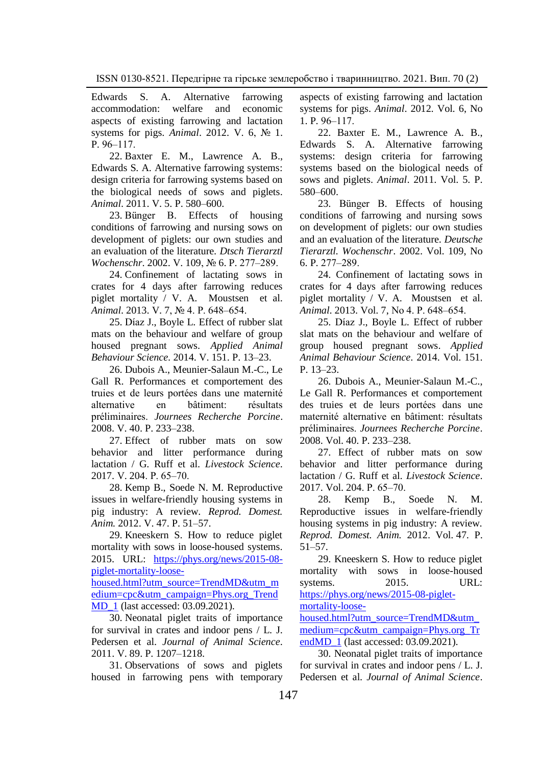[Edwards S. A.](https://www.ncbi.nlm.nih.gov/pubmed/?term=Edwards%20SA%5BAuthor%5D&cauthor=true&cauthor_uid=22436159) Alternative farrowing<br>accommodation: welfare and economic accommodation: welfare and economic aspects of existing farrowing and lactation systems for pigs. *[Animal](https://www.ncbi.nlm.nih.gov/pubmed/22436159)*. 2012. V. 6, № 1.  $P. 96 - 117.$ 

22. Baxter [E. M.,](https://www.cambridge.org/core/search?filters%5BauthorTerms%5D=E.%20M.%20Baxter&eventCode=SE-AU) [Lawrence](https://www.cambridge.org/core/search?filters%5BauthorTerms%5D=A.%20B.%20Lawrence&eventCode=SE-AU) A. B., [Edwards](https://www.cambridge.org/core/search?filters%5BauthorTerms%5D=S.%20A.%20Edwards&eventCode=SE-AU) S. A. Alternative farrowing systems: design criteria for farrowing systems based on the biological needs of sows and piglets. *[Animal](https://www.ncbi.nlm.nih.gov/pubmed/22439955)*. 2011. V. 5. P. 580‒600.

23. [Bünger B.](https://www.ncbi.nlm.nih.gov/pubmed/?term=B%C3%BCnger%20B%5BAuthor%5D&cauthor=true&cauthor_uid=12125174) Effects of housing conditions of farrowing and nursing sows on development of piglets: our own studies and an evaluation of the literature. *[Dtsch Tierarztl](https://www.ncbi.nlm.nih.gov/pubmed/12125174)  [Wochenschr](https://www.ncbi.nlm.nih.gov/pubmed/12125174).* 2002. V. 109, № 6. P. 277–289.

24. Confinement of lactating sows in crates for 4 days after farrowing reduces piglet mortality / V. A. [Moustsen](https://www.ncbi.nlm.nih.gov/pubmed/?term=Moustsen%20VA%5BAuthor%5D&cauthor=true&cauthor_uid=23190747) et al. *[Animal](https://www.ncbi.nlm.nih.gov/pubmed/23190747)*. 2013. V. 7, № 4. P. 648‒654.

25. [Díaz](https://www.sciencedirect.com/science/article/abs/pii/S0168159113002888?via%3Dihub#!) J., [Boyle](https://www.sciencedirect.com/science/article/abs/pii/S0168159113002888?via%3Dihub#!) L. Effect of rubber slat mats on the behaviour and welfare of group housed pregnant sows. *[Applied Animal](https://www.sciencedirect.com/science/journal/01681591)  [Behaviour Science.](https://www.sciencedirect.com/science/journal/01681591)* 2014. V. [151.](https://www.sciencedirect.com/science/journal/01681591/151/supp/C) P. 13‒23.

26. Dubois A., Meunier-Salaun M.-C., Le Gall R. Performances et comportement des truies et de leurs portées dans une maternité alternative en bâtiment: résultats préliminaires. *Journees Recherche Porcine*. 2008. V. 40. P. 233–238.

27. Effect of rubber mats on sow behavior and litter performance during lactation / [G. Ruff e](https://www.sciencedirect.com/science/article/abs/pii/S1871141317302330#!)t al. *[Livestock Science](https://www.sciencedirect.com/science/journal/18711413)*. 2017[. V. 204.](https://www.sciencedirect.com/science/journal/18711413/204/supp/C) P. 65‒70.

28. Kemp B., Soede N. M. Reproductive issues in welfare-friendly housing systems in pig industry: A review. *Reprod. Domest. Anim.* 2012. V. 47. P. 51-57.

29. Kneeskern S. How to reduce piglet mortality with sows in loose-housed systems. 2015. URL: [https://phys.org/news/2015-08](https://phys.org/news/2015-08-piglet-mortality-loose-housed.html?utm_source=TrendMD&utm_medium=cpc&utm_campaign=Phys.org_TrendMD_1) [piglet-mortality-loose-](https://phys.org/news/2015-08-piglet-mortality-loose-housed.html?utm_source=TrendMD&utm_medium=cpc&utm_campaign=Phys.org_TrendMD_1)

[housed.html?utm\\_source=TrendMD&utm\\_m](https://phys.org/news/2015-08-piglet-mortality-loose-housed.html?utm_source=TrendMD&utm_medium=cpc&utm_campaign=Phys.org_TrendMD_1) [edium=cpc&utm\\_campaign=Phys.org\\_Trend](https://phys.org/news/2015-08-piglet-mortality-loose-housed.html?utm_source=TrendMD&utm_medium=cpc&utm_campaign=Phys.org_TrendMD_1) [MD\\_1](https://phys.org/news/2015-08-piglet-mortality-loose-housed.html?utm_source=TrendMD&utm_medium=cpc&utm_campaign=Phys.org_TrendMD_1) (last accessed: 03.09.2021).

30. Neonatal piglet traits of importance for survival in crates and indoor pens / [L. J.](javascript:;) Pedersen et al. *Journal of Animal Science*. 2011. V. 89. P. 1207–1218.

31. Observations of sows and piglets housed in farrowing pens with temporary aspects of existing farrowing and lactation systems for pigs. *[Animal](https://www.ncbi.nlm.nih.gov/pubmed/22436159)*. 2012. Vol. 6, No 1. P. 96‒117.

22. Baxter [E. M.,](https://www.cambridge.org/core/search?filters%5BauthorTerms%5D=E.%20M.%20Baxter&eventCode=SE-AU) [Lawrence](https://www.cambridge.org/core/search?filters%5BauthorTerms%5D=A.%20B.%20Lawrence&eventCode=SE-AU) A. B., [Edwards](https://www.cambridge.org/core/search?filters%5BauthorTerms%5D=S.%20A.%20Edwards&eventCode=SE-AU) S. A. Alternative farrowing systems: design criteria for farrowing systems based on the biological needs of sows and piglets. *[Animal](https://www.ncbi.nlm.nih.gov/pubmed/22439955)*. 2011. Vol. 5. P. 580–600.

23. [Bünger B.](https://www.ncbi.nlm.nih.gov/pubmed/?term=B%C3%BCnger%20B%5BAuthor%5D&cauthor=true&cauthor_uid=12125174) Effects of housing conditions of farrowing and nursing sows on development of piglets: our own studies and an evaluation of the literature. *[Deutsche](https://www.ncbi.nlm.nih.gov/pubmed/12125174)  [Tierarztl. Wochenschr](https://www.ncbi.nlm.nih.gov/pubmed/12125174)*. 2002. Vol. 109, No 6. P. 277‒289.

24. Confinement of lactating sows in crates for 4 days after farrowing reduces piglet mortality / V. A. [Moustsen](https://www.ncbi.nlm.nih.gov/pubmed/?term=Moustsen%20VA%5BAuthor%5D&cauthor=true&cauthor_uid=23190747) et al. *[Animal](https://www.ncbi.nlm.nih.gov/pubmed/23190747)*. 2013. Vol. 7, No 4. P. 648‒654.

25. [Díaz](https://www.sciencedirect.com/science/article/abs/pii/S0168159113002888?via%3Dihub#!) J., [Boyle](https://www.sciencedirect.com/science/article/abs/pii/S0168159113002888?via%3Dihub#!) L. Effect of rubber slat mats on the behaviour and welfare of group housed pregnant sows. *[Applied](https://www.sciencedirect.com/science/journal/01681591)  [Animal Behaviour Science.](https://www.sciencedirect.com/science/journal/01681591)* 2014[. Vol.](https://www.sciencedirect.com/science/journal/01681591/151/supp/C) 151.  $P. 13 - 23.$ 

26. Dubois A., Meunier-Salaun M.-C., Le Gall R. Performances et comportement des truies et de leurs portées dans une maternité alternative en bâtiment: résultats préliminaires. *Journees Recherche Porcine*. 2008. Vol. 40. P. 233–238.

27. Effect of rubber mats on sow behavior and litter performance during lactation / [G. Ruff e](https://www.sciencedirect.com/science/article/abs/pii/S1871141317302330#!)t al. *[Livestock Science](https://www.sciencedirect.com/science/journal/18711413)*. 2017[. Vol. 204.](https://www.sciencedirect.com/science/journal/18711413/204/supp/C) P. 65‒70.

28. Kemp B., Soede N. M. Reproductive issues in welfare-friendly housing systems in pig industry: A review. *Reprod. Domest. Anim.* 2012. Vol. 47. P. 51–57.

29. Kneeskern S. How to reduce piglet mortality with sows in loose-housed systems. 2015. URL: [https://phys.org/news/2015-08-piglet-](https://phys.org/news/2015-08-piglet-mortality-loose-housed.html?utm_source=TrendMD&utm_medium=cpc&utm_campaign=Phys.org_TrendMD_1)

[mortality-loose-](https://phys.org/news/2015-08-piglet-mortality-loose-housed.html?utm_source=TrendMD&utm_medium=cpc&utm_campaign=Phys.org_TrendMD_1)

[housed.html?utm\\_source=TrendMD&utm\\_](https://phys.org/news/2015-08-piglet-mortality-loose-housed.html?utm_source=TrendMD&utm_medium=cpc&utm_campaign=Phys.org_TrendMD_1) [medium=cpc&utm\\_campaign=Phys.org\\_Tr](https://phys.org/news/2015-08-piglet-mortality-loose-housed.html?utm_source=TrendMD&utm_medium=cpc&utm_campaign=Phys.org_TrendMD_1) [endMD\\_1](https://phys.org/news/2015-08-piglet-mortality-loose-housed.html?utm_source=TrendMD&utm_medium=cpc&utm_campaign=Phys.org_TrendMD_1) (last accessed: 03.09.2021).

30. Neonatal piglet traits of importance for survival in crates and indoor pens / [L. J.](javascript:;) Pedersen et al. *Journal of Animal Science*.